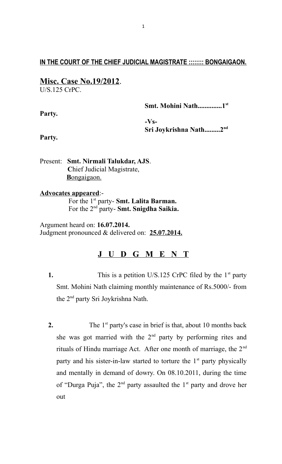## **IN THE COURT OF THE CHIEF JUDICIAL MAGISTRATE :::::::: BONGAIGAON.**

# **Misc. Case No.19/2012**.

U/S.125 CrPC.

|        | Smt. Mohini Nath1 <sup>st</sup>    |
|--------|------------------------------------|
| Party. |                                    |
|        | $-Vs-$                             |
|        | Sri Joykrishna Nath2 <sup>nd</sup> |
| Party. |                                    |

Present: **Smt. Nirmali Talukdar, AJS**. **C**hief Judicial Magistrate, **B** ongaigaon.

# **Advocates appeared**:-

For the 1<sup>st</sup> party- **Smt. Lalita Barman.** For the 2nd party- **Smt. Snigdha Saikia.**

Argument heard on: **16.07.2014.** Judgment pronounced & delivered on: **25.07.2014.**

# **J U D G M E N T**

- **1.** This is a petition U/S.125 CrPC filed by the 1<sup>st</sup> party Smt. Mohini Nath claiming monthly maintenance of Rs.5000/- from the 2nd party Sri Joykrishna Nath.
- **2.** The 1<sup>st</sup> party's case in brief is that, about 10 months back she was got married with the  $2<sup>nd</sup>$  party by performing rites and rituals of Hindu marriage Act. After one month of marriage, the  $2<sup>nd</sup>$ party and his sister-in-law started to torture the  $1<sup>st</sup>$  party physically and mentally in demand of dowry. On 08.10.2011, during the time of "Durga Puja", the  $2<sup>nd</sup>$  party assaulted the  $1<sup>st</sup>$  party and drove her out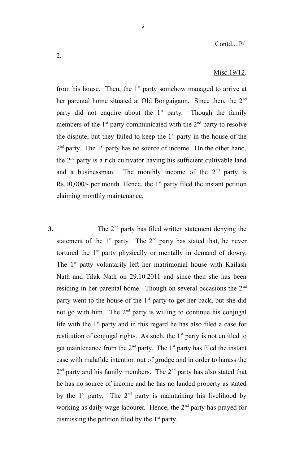#### Misc.19/12.

from his house. Then, the  $1<sup>st</sup>$  party somehow managed to arrive at her parental home situated at Old Bongaigaon. Since then, the 2<sup>nd</sup> party did not enquire about the  $1<sup>st</sup>$  party. Though the family members of the  $1<sup>st</sup>$  party communicated with the  $2<sup>nd</sup>$  party to resolve the dispute, but they failed to keep the  $1<sup>st</sup>$  party in the house of the  $2<sup>nd</sup>$  party. The 1<sup>st</sup> party has no source of income. On the other hand, the  $2<sup>nd</sup>$  party is a rich cultivator having his sufficient cultivable land and a businessman. The monthly income of the  $2<sup>nd</sup>$  party is Rs.10,000/- per month. Hence, the  $1<sup>st</sup>$  party filed the instant petition claiming monthly maintenance.

2

**3.** The 2<sup>nd</sup> party has filed written statement denying the statement of the  $1<sup>st</sup>$  party. The  $2<sup>nd</sup>$  party has stated that, he never tortured the 1<sup>st</sup> party physically or mentally in demand of dowry. The 1<sup>st</sup> patty voluntarily left her matrimonial house with Kailash Nath and Tilak Nath on 29.10.2011 and since then she has been residing in her parental home. Though on several occasions the  $2<sup>nd</sup>$ party went to the house of the  $1<sup>st</sup>$  party to get her back, but she did not go with him. The  $2<sup>nd</sup>$  party is willing to continue his conjugal life with the  $1<sup>st</sup>$  party and in this regard he has also filed a case for restitution of conjugal rights. As such, the  $1<sup>st</sup>$  party is not entitled to get maintenance from the  $2<sup>nd</sup>$  party. The  $1<sup>st</sup>$  party has filed the instant case with malafide intention out of grudge and in order to harass the  $2<sup>nd</sup>$  party and his family members. The  $2<sup>nd</sup>$  party has also stated that he has no source of income and he has no landed property as stated by the  $1<sup>st</sup>$  party. The  $2<sup>nd</sup>$  party is maintaining his livelihood by working as daily wage labourer. Hence, the  $2<sup>nd</sup>$  party has prayed for dismissing the petition filed by the  $1<sup>st</sup>$  party.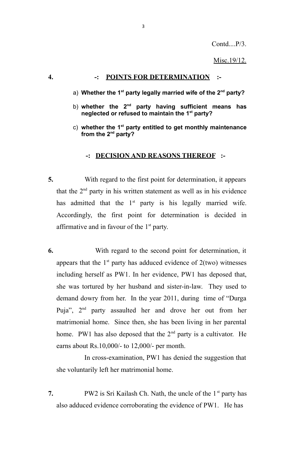Contd....P/3.

Misc.19/12.

## **4. -: POINTS FOR DETERMINATION :-**

- a) **Whether the 1st party legally married wife of the 2nd party?**
- b) **whether the 2nd party having sufficient means has neglected or refused to maintain the 1st party?**
- c) **whether the 1st party entitled to get monthly maintenance from the 2nd party?**

### **-: DECISION AND REASONS THEREOF :-**

- **5.** With regard to the first point for determination, it appears that the  $2<sup>nd</sup>$  party in his written statement as well as in his evidence has admitted that the  $1<sup>st</sup>$  party is his legally married wife. Accordingly, the first point for determination is decided in affirmative and in favour of the  $1<sup>st</sup>$  party.
- **6.** With regard to the second point for determination, it appears that the  $1<sup>st</sup>$  party has adduced evidence of  $2$ (two) witnesses including herself as PW1. In her evidence, PW1 has deposed that, she was tortured by her husband and sister-in-law. They used to demand dowry from her. In the year 2011, during time of "Durga Puja", 2nd party assaulted her and drove her out from her matrimonial home. Since then, she has been living in her parental home. PW1 has also deposed that the  $2<sup>nd</sup>$  party is a cultivator. He earns about Rs.10,000/- to 12,000/- per month.

 In cross-examination, PW1 has denied the suggestion that she voluntarily left her matrimonial home.

**7.** PW2 is Sri Kailash Ch. Nath, the uncle of the 1<sup>st</sup> party has also adduced evidence corroborating the evidence of PW1. He has

3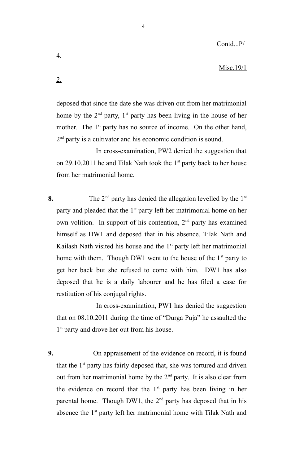#### Misc.19/1

2.

4.

deposed that since the date she was driven out from her matrimonial home by the  $2<sup>nd</sup>$  party,  $1<sup>st</sup>$  party has been living in the house of her mother. The  $1<sup>st</sup>$  party has no source of income. On the other hand, 2<sup>nd</sup> party is a cultivator and his economic condition is sound.

 In cross-examination, PW2 denied the suggestion that on 29.10.2011 he and Tilak Nath took the  $1<sup>st</sup>$  party back to her house from her matrimonial home.

**8.** The 2<sup>nd</sup> party has denied the allegation levelled by the 1<sup>st</sup> party and pleaded that the  $1<sup>st</sup>$  party left her matrimonial home on her own volition. In support of his contention,  $2<sup>nd</sup>$  party has examined himself as DW1 and deposed that in his absence, Tilak Nath and Kailash Nath visited his house and the  $1<sup>st</sup>$  party left her matrimonial home with them. Though DW1 went to the house of the  $1<sup>st</sup>$  party to get her back but she refused to come with him. DW1 has also deposed that he is a daily labourer and he has filed a case for restitution of his conjugal rights.

 In cross-examination, PW1 has denied the suggestion that on 08.10.2011 during the time of "Durga Puja" he assaulted the 1<sup>st</sup> party and drove her out from his house.

**9.** On appraisement of the evidence on record, it is found that the  $1<sup>st</sup>$  party has fairly deposed that, she was tortured and driven out from her matrimonial home by the  $2<sup>nd</sup>$  party. It is also clear from the evidence on record that the  $1<sup>st</sup>$  party has been living in her parental home. Though DW1, the  $2<sup>nd</sup>$  party has deposed that in his absence the 1<sup>st</sup> party left her matrimonial home with Tilak Nath and

4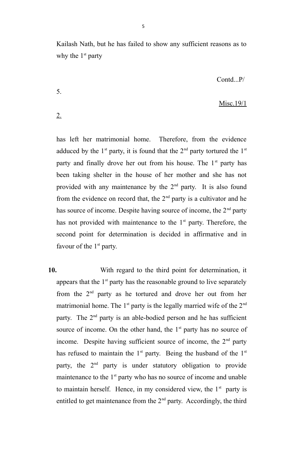Kailash Nath, but he has failed to show any sufficient reasons as to why the  $1<sup>st</sup>$  party

Contd...P/

## Misc.19/1

2.

5.

has left her matrimonial home. Therefore, from the evidence adduced by the  $1<sup>st</sup>$  party, it is found that the  $2<sup>nd</sup>$  party tortured the  $1<sup>st</sup>$ party and finally drove her out from his house. The  $1<sup>st</sup>$  party has been taking shelter in the house of her mother and she has not provided with any maintenance by the 2<sup>nd</sup> party. It is also found from the evidence on record that, the  $2<sup>nd</sup>$  party is a cultivator and he has source of income. Despite having source of income, the  $2<sup>nd</sup>$  party has not provided with maintenance to the  $1<sup>st</sup>$  party. Therefore, the second point for determination is decided in affirmative and in favour of the  $1<sup>st</sup>$  party.

**10.** With regard to the third point for determination, it appears that the  $1<sup>st</sup>$  party has the reasonable ground to live separately from the 2<sup>nd</sup> party as he tortured and drove her out from her matrimonial home. The  $1<sup>st</sup>$  party is the legally married wife of the  $2<sup>nd</sup>$ party. The  $2<sup>nd</sup>$  party is an able-bodied person and he has sufficient source of income. On the other hand, the  $1<sup>st</sup>$  party has no source of income. Despite having sufficient source of income, the  $2<sup>nd</sup>$  party has refused to maintain the  $1<sup>st</sup>$  party. Being the husband of the  $1<sup>st</sup>$ party, the  $2<sup>nd</sup>$  party is under statutory obligation to provide maintenance to the  $1<sup>st</sup>$  party who has no source of income and unable to maintain herself. Hence, in my considered view, the  $1<sup>st</sup>$  party is entitled to get maintenance from the  $2<sup>nd</sup>$  party. Accordingly, the third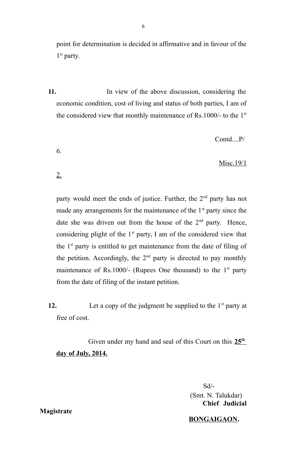point for determination is decided in affirmative and in favour of the 1<sup>st</sup> party.

6

**11.** In view of the above discussion, considering the economic condition, cost of living and status of both parties, I am of the considered view that monthly maintenance of Rs.1000/- to the  $1<sup>st</sup>$ 

Contd....P/

## Misc.19/1

2.

6.

party would meet the ends of justice. Further, the  $2<sup>nd</sup>$  party has not made any arrangements for the maintenance of the  $1<sup>st</sup>$  party since the date she was driven out from the house of the  $2<sup>nd</sup>$  party. Hence, considering plight of the  $1<sup>st</sup>$  party, I am of the considered view that the  $1<sup>st</sup>$  party is entitled to get maintenance from the date of filing of the petition. Accordingly, the  $2<sup>nd</sup>$  party is directed to pay monthly maintenance of Rs.1000/- (Rupees One thousand) to the  $1<sup>st</sup>$  party from the date of filing of the instant petition.

12. Let a copy of the judgment be supplied to the  $1<sup>st</sup>$  party at free of cost.

Given under my hand and seal of this Court on this  $25<sup>th</sup>$ day of July, 2014.

> Sd/- (Smt. N. Talukdar)  **Chief Judicial**

#### **BONGAIGAON.**

**Magistrate**